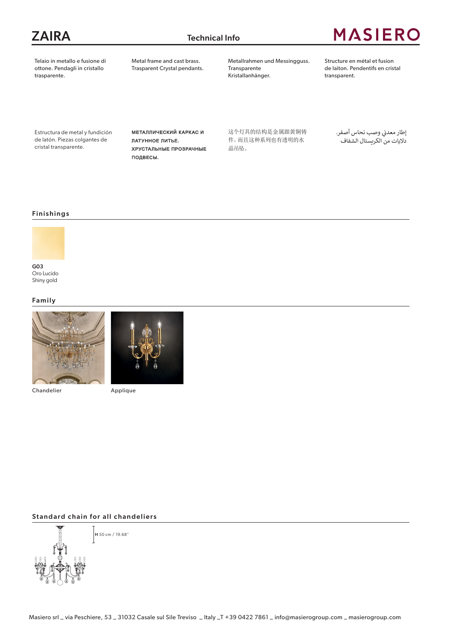### ZAIRA Technical Info

## **MASIERO**

Telaio in metallo e fusione di ottone. Pendagli in cristallo trasparente.

Metal frame and cast brass. Trasparent Crystal pendants. Metallrahmen und Messingguss. Transparente Kristallanhänger.

Structure en métal et fusion de laiton. Pendentifs en cristal transparent.

Estructura de metal y fundición de latón. Piezas colgantes de cristal transparente.

Металлический каркас и латунное литье. Хрустальные прозрачные подвесы.

这个灯具的结构是金属跟黄铜铸 件。而且这种系列也有透明的水 晶吊坠。

إطار معدني وصب نحاس أصفر. ن داليات من الكريستال الشفاف

#### Finishings



Oro Lucido Shiny gold

#### Family



Chandelier



Applique

#### Standard chain for all chandeliers



H 50 cm / 19.68"

Masiero srl \_ via Peschiere, 53 \_ 31032 Casale sul Sile Treviso \_ Italy \_T +39 0422 7861 \_ info@masierogroup.com \_ masierogroup.com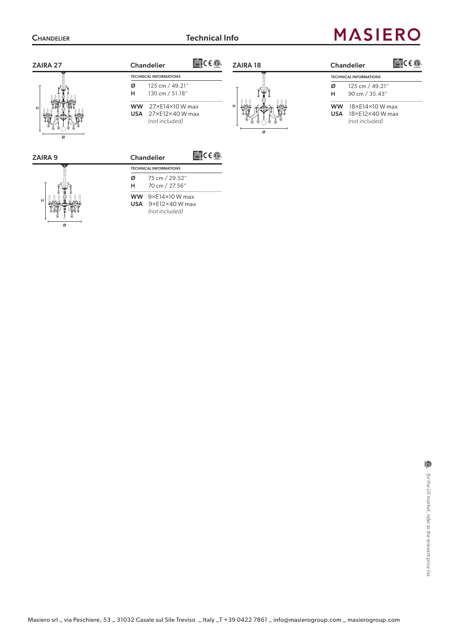Ø

# **MASIERO**

| ZAIRA 27       | $Teff$ C E $\circledR$ .<br>ZAIRA 18<br><b>Chandelier</b>                                 | 蓝红 CE.1<br><b>Chandelier</b>                                                    |  |  |
|----------------|-------------------------------------------------------------------------------------------|---------------------------------------------------------------------------------|--|--|
|                | <b>TECHNICAL INFORMATIONS</b>                                                             | <b>TECHNICAL INFORMATIONS</b>                                                   |  |  |
| H<br>ø         | 125 cm / 49.21"<br>ø<br>н<br>130 cm / 51.18"                                              | 125 cm / 49.21"<br>ø<br>90 cm / 35.43"<br>н                                     |  |  |
|                | <br>27×E14×10 W max<br><b>WW</b><br>USA $27\times12\times40$ W max<br>(not included)<br>ø | 18×E14×10 W max<br><b>WW</b><br>18×E12×40 W max<br><b>USA</b><br>(not included) |  |  |
| <b>ZAIRA 9</b> | $T^{\text{eff}}$ $C \in \textcircled{1}$<br><b>Chandelier</b>                             |                                                                                 |  |  |
|                | <b>TECHNICAL INFORMATIONS</b>                                                             |                                                                                 |  |  |
|                | 75 cm / 29.52"<br>ø<br>70 cm / 27.56"<br>н                                                |                                                                                 |  |  |
|                | WW $9\times$ E14×10 W max<br><b>USA</b> $9 \times E12 \times 40$ W max                    |                                                                                 |  |  |

*(not included)*

 $\circled{1}$  . for the US market, refer to the relevant price list. *: for the US market, refer to the relevant price list.*